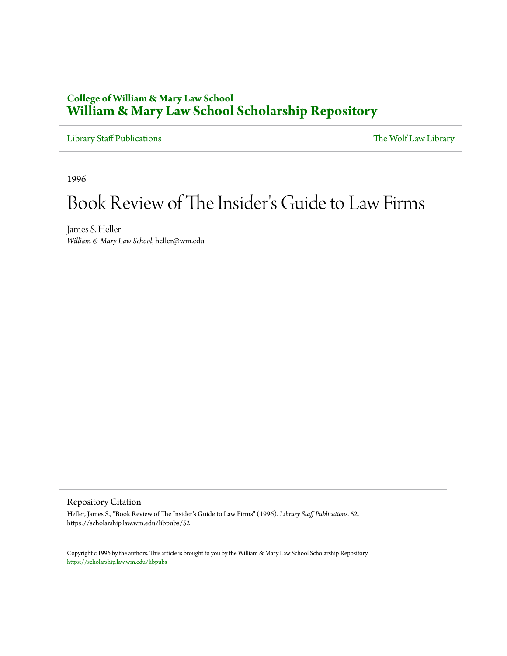## **College of William & Mary Law School [William & Mary Law School Scholarship Repository](https://scholarship.law.wm.edu)**

[Library Staff Publications](https://scholarship.law.wm.edu/libpubs) [The Wolf Law Library](https://scholarship.law.wm.edu/library)

1996

## Book Review of The Insider 's Guide to Law Firms

James S. Heller *William & Mary Law School*, heller@wm.edu

Repository Citation

Heller, James S., "Book Review of The Insider's Guide to Law Firms" (1996). *Library Staff Publications*. 52. https://scholarship.law.wm.edu/libpubs/52

Copyright c 1996 by the authors. This article is brought to you by the William & Mary Law School Scholarship Repository. <https://scholarship.law.wm.edu/libpubs>